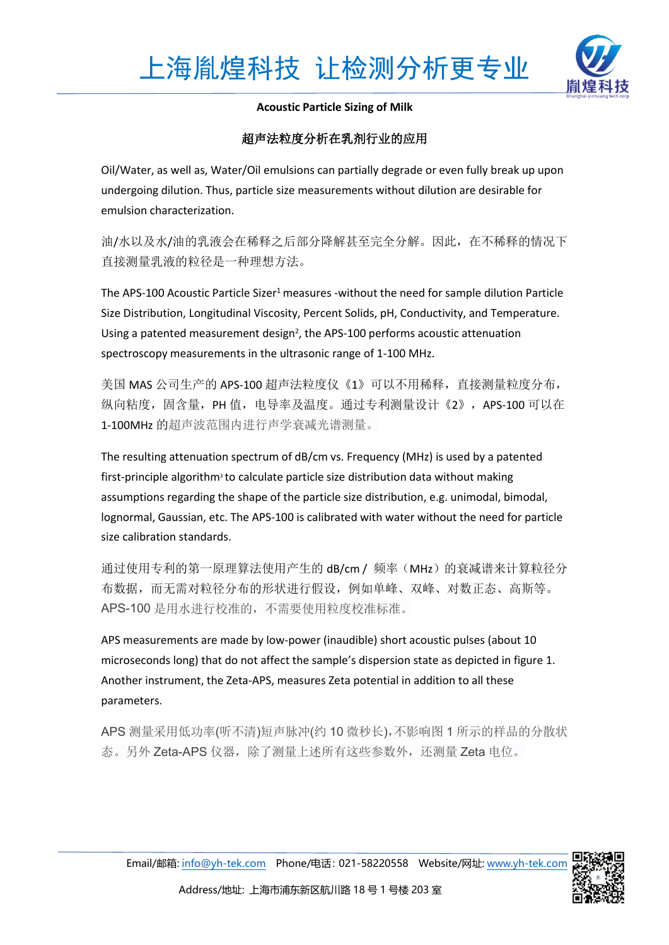

**Acoustic Particle Sizing of Milk**

# 超声法粒度分析在乳剂行业的应用

Oil/Water, as well as, Water/Oil emulsions can partially degrade or even fully break up upon undergoing dilution. Thus, particle size measurements without dilution are desirable for emulsion characterization.

油/水以及水/油的乳液会在稀释之后部分降解甚至完全分解。因此,在不稀释的情况下 直接测量乳液的粒径是一种理想方法。

The APS-100 Acoustic Particle Sizer<sup>1</sup> measures -without the need for sample dilution Particle Size Distribution, Longitudinal Viscosity, Percent Solids, pH, Conductivity, and Temperature. Using a patented measurement design<sup>2</sup>, the APS-100 performs acoustic attenuation spectroscopy measurements in the ultrasonic range of 1-100 MHz.

美国 MAS 公司生产的 APS-100 超声法粒度仪《1》可以不用稀释,直接测量粒度分布, 纵向粘度,固含量, PH 值, 电导率及温度。通过专利测量设计《2》, APS-100 可以在 1-100MHz 的超声波范围内进行声学衰减光谱测量。

The resulting attenuation spectrum of dB/cm vs. Frequency (MHz) is used by a patented first-principle algorithm<sup>3</sup> to calculate particle size distribution data without making assumptions regarding the shape of the particle size distribution, e.g. unimodal, bimodal, lognormal, Gaussian, etc. The APS-100 is calibrated with water without the need for particle size calibration standards.

通过使用专利的第一原理算法使用产生的 dB/cm / 频率 (MHz) 的衰减谱来计算粒径分 布数据,而无需对粒径分布的形状进行假设,例如单峰、双峰、对数正态、高斯等。 APS-100 是用水进行校准的,不需要使用粒度校准标准。

APS measurements are made by low-power (inaudible) short acoustic pulses (about 10 microseconds long) that do not affect the sample's dispersion state as depicted in figure 1. Another instrument, the Zeta-APS, measures Zeta potential in addition to all these parameters.

APS 测量采用低功率(听不清)短声脉冲(约 10 微秒长),不影响图 1 所示的样品的分散状 态。另外 Zeta-APS 仪器,除了测量上述所有这些参数外,还测量 Zeta 电位。

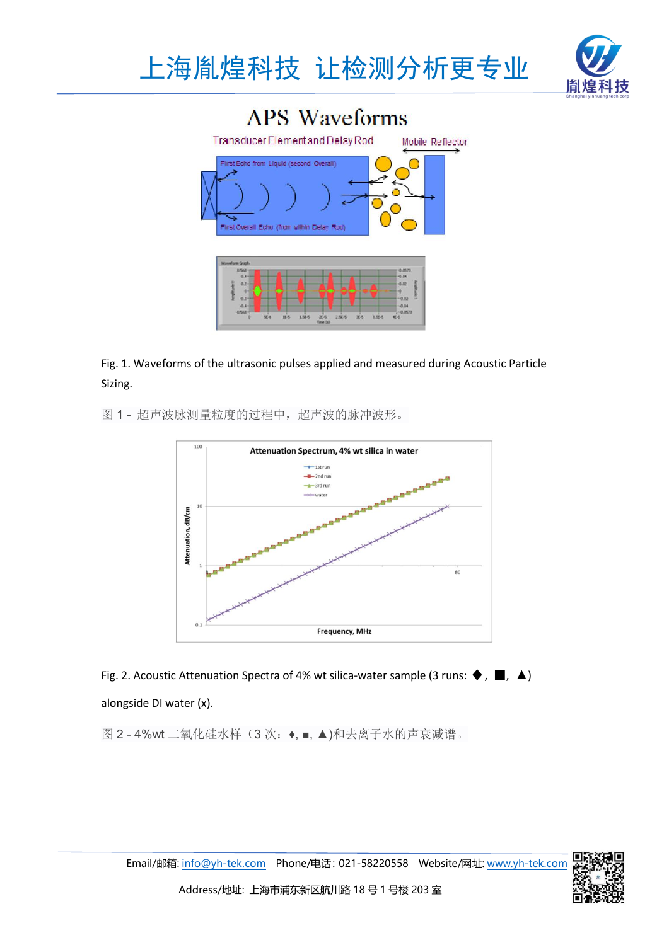





Fig. 1. Waveforms of the ultrasonic pulses applied and measured during Acoustic Particle Sizing.

图 1 - 超声波脉测量粒度的过程中,超声波的脉冲波形。



Fig. 2. Acoustic Attenuation Spectra of 4% wt silica-water sample (3 runs:  $\blacklozenge$ ,  $\blacksquare$ ,  $\blacktriangle$ ) alongside DI water (x).

图 2-4%wt 二氧化硅水样(3次: ◆, ■, ▲)和去离子水的声衰减谱。

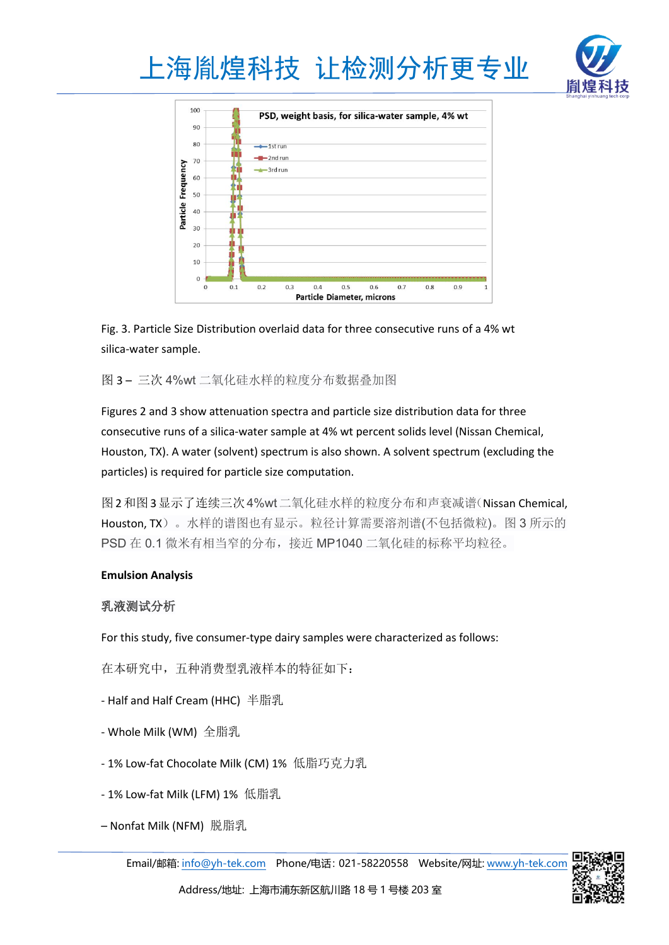





Fig. 3. Particle Size Distribution overlaid data for three consecutive runsof a 4% wt silica-water sample.

图 3 – 三次 4%wt 二氧化硅水样的粒度分布数据叠加图

Figures 2 and 3 show attenuation spectra and particle size distribution data for three consecutive runs of a silica-water sample at 4% wt percent solids level (Nissan Chemical, Houston, TX). A water (solvent) spectrum is also shown. A solvent spectrum (excluding the particles) is required for particle size computation.

图2和图3显示了连续三次4%wt二氧化硅水样的粒度分布和声衰减谱(Nissan Chemical, Houston, TX)。水样的谱图也有显示。粒径计算需要溶剂谱(不包括微粒)。图 3 所示的 PSD 在 0.1 微米有相当窄的分布,接近 MP1040 二氧化硅的标称平均粒径。

### **Emulsion Analysis**

# 乳液测试分析

For this study, five consumer-type dairy samples were characterized as follows:

在本研究中,五种消费型乳液样本的特征如下:

- Half and Half Cream (HHC) 半脂乳
- Whole Milk (WM) 全脂乳
- 1% Low-fat Chocolate Milk (CM) 1% 低脂巧克力乳
- 1% Low-fat Milk (LFM) 1% 低脂乳
- Nonfat Milk (NFM) 脱脂乳

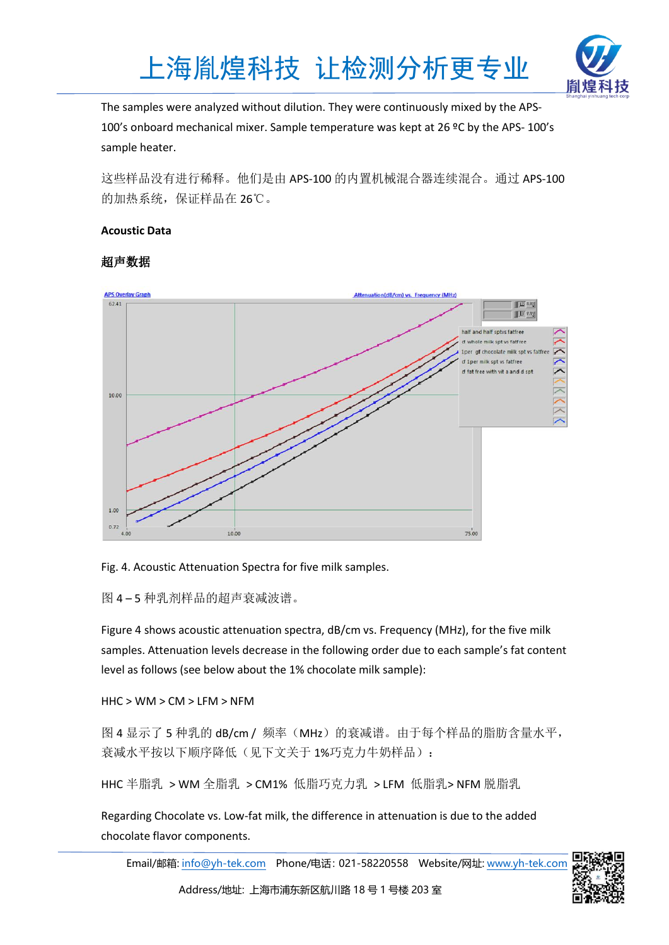



The samples were analyzed without dilution. They were continuously mixed by the APS- 100's onboard mechanical mixer. Sample temperature was kept at 26 ºC by the APS- 100's sample heater.

这些样品没有进行稀释。他们是由 APS-100 的内置机械混合器连续混合。通过 APS-100 的加热系统,保证样品在 26℃。

## **Acoustic Data**

# 超声数据



Fig. 4. Acoustic Attenuation Spectra for five milk samples.

图 4 – 5 种乳剂样品的超声衰减波谱。

Figure 4 shows acoustic attenuation spectra, dB/cm vs. Frequency (MHz), for the five milk samples. Attenuation levels decrease in the following order due to each sample's fat content level as follows (see below about the 1% chocolate milk sample):

HHC > WM > CM > LFM > NFM

图 4 显示了 5 种乳的 dB/cm / 频率(MHz)的衰减谱。由于每个样品的脂肪含量水平, 衰减水平按以下顺序降低(见下文关于 1%巧克力牛奶样品):

HHC 半脂乳 > WM 全脂乳 > CM1% 低脂巧克力乳 > LFM 低脂乳> NFM 脱脂乳

Regarding Chocolate vs. Low-fat milk, the difference in attenuation is due to the added chocolate flavor components.

Email/邮箱: [info@yh-tek.com](mailto:info@yh-tek.com) Phone/电话:021-58220558 Website/网址: [www.yh-tek.com](http://www.yh-tek.com)

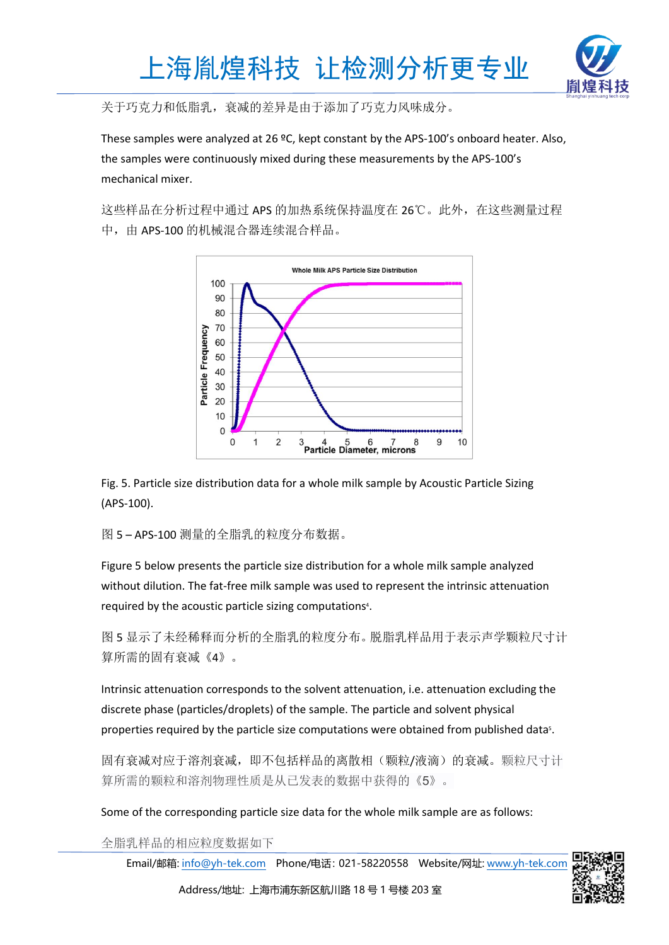



关于巧克力和低脂乳,衰减的差异是由于添加了巧克力风味成分。

These samples were analyzed at 26 ºC, kept constant by the APS-100's onboard heater. Also, the samples were continuously mixed during these measurements by the APS-100's mechanical mixer.

这些样品在分析过程中通过 APS 的加热系统保持温度在 26℃。此外,在这些测量过程 中, 由 APS-100 的机械混合器连续混合样品。



Fig. 5. Particle size distribution data for a whole milk sample by Acoustic Particle Sizing (APS-100).

图 5 – APS-100 测量的全脂乳的粒度分布数据。

Figure 5 below presents the particle size distribution for a whole milk sample analyzed without dilution. The fat-free milk sample was used to represent the intrinsic attenuation required by the acoustic particle sizing computations <sup>4</sup>.

图 5 显示了未经稀释而分析的全脂乳的粒度分布。脱脂乳样品用于表示声学颗粒尺寸计 算所需的固有衰减《4》。

Intrinsic attenuation corresponds to the solvent attenuation, i.e. attenuation excluding the discrete phase (particles/droplets) of the sample. The particle and solvent physical properties required by the particle size computations were obtained from published data <sup>5</sup>.

固有衰减对应于溶剂衰减,即不包括样品的离散相(颗粒/液滴)的衰减。颗粒尺寸计 算所需的颗粒和溶剂物理性质是从已发表的数据中获得的《5》。

Some of the corresponding particle size data for the whole milk sample are as follows:

全脂乳样品的相应粒度数据如下

Email/邮箱: [info@yh-tek.com](mailto:info@yh-tek.com) Phone/电话:021-58220558 Website/网址: [www.yh-tek.com](http://www.yh-tek.com)



Address/地址: 上海市浦东新区航川路 18 号 1 号楼 203 室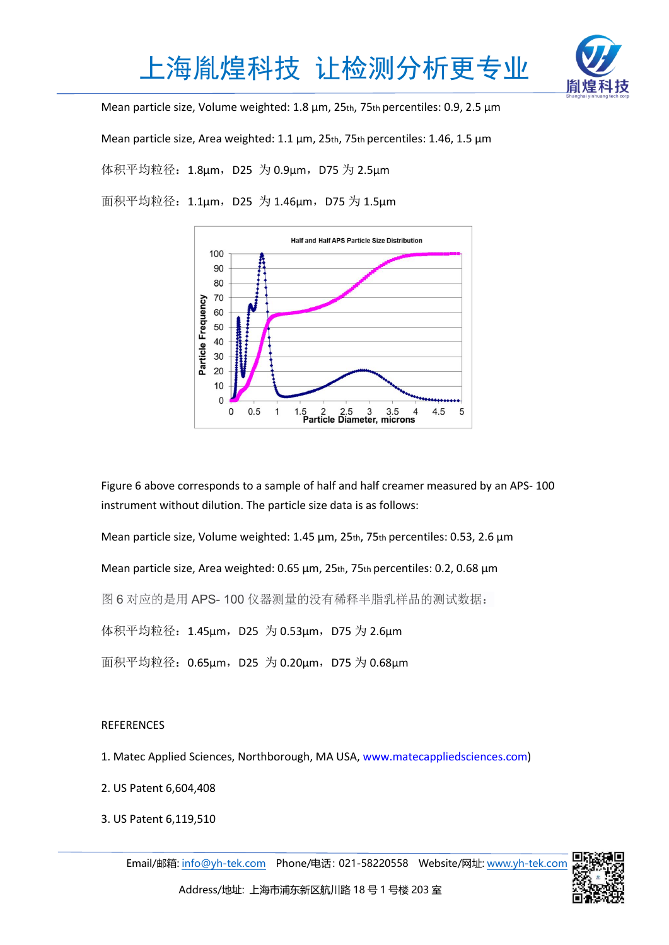



Mean particle size, Volume weighted: 1.8 µm, 25th, 75th percentiles: 0.9, 2.5 µm

Mean particle size, Area weighted: 1.1 µm, 25th, 75th percentiles: 1.46, 1.5 µm

体积平均粒径: 1.8μm, D25 为 0.9μm, D75 为 2.5μm

面积平均粒径:1.1μm,D25 为 1.46μm,D75 为 1.5μm



Figure 6 above corresponds to a sample of half and half creamer measured by an APS- 100 instrument without dilution. The particle size data is as follows:

Mean particle size, Volume weighted: 1.45 µm, 25th, 75th percentiles: 0.53, 2.6 µm

Mean particle size, Area weighted: 0.65 µm, 25th, 75th percentiles: 0.2, 0.68 µm

图 6 对应的是用 APS- 100 仪器测量的没有稀释半脂乳样品的测试数据:

体积平均粒径: 1.45μm, D25 为 0.53μm, D75 为 2.6μm

面积平均粒径: 0.65μm, D25 为 0.20μm, D75 为 0.68μm

### REFERENCES

1. Matec Applied Sciences, Northborough, MA USA, www.matecappliedsciences.com)

- 2. US Patent 6,604,408
- 3. US Patent 6,119,510